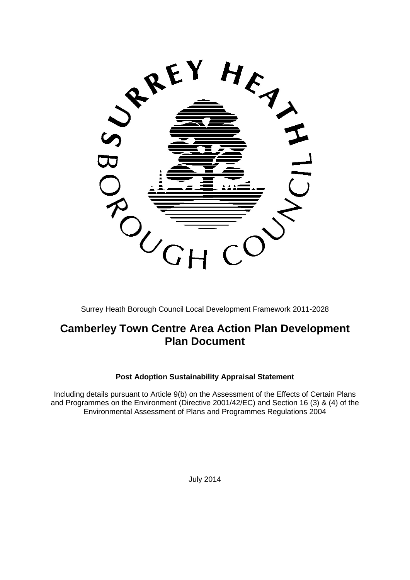

Surrey Heath Borough Council Local Development Framework 2011-2028

# **Camberley Town Centre Area Action Plan Development Plan Document**

### **Post Adoption Sustainability Appraisal Statement**

<span id="page-0-0"></span>Including details pursuant to Article 9(b) on the Assessment of the Effects of Certain Plans and Programmes on the Environment (Directive 2001/42/EC) and Section 16 (3) & (4) of the Environmental Assessment of Plans and Programmes Regulations 2004

July 2014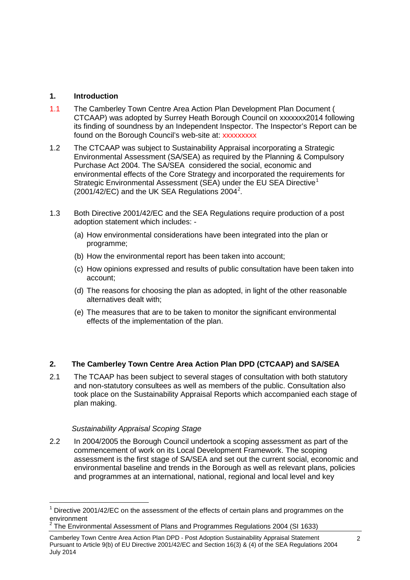## **1. Introduction**

- 1.1 The Camberley Town Centre Area Action Plan Development Plan Document ( CTCAAP) was adopted by Surrey Heath Borough Council on xxxxxxx2014 following its finding of soundness by an Independent Inspector. The Inspector's Report can be found on the Borough Council's web-site at: xxxxxxxxx
- 1.2 The CTCAAP was subject to Sustainability Appraisal incorporating a Strategic Environmental Assessment (SA/SEA) as required by the Planning & Compulsory Purchase Act 2004. The SA/SEA considered the social, economic and environmental effects of the Core Strategy and incorporated the requirements for Strategic Environmental Assessment (SEA) under the EU SEA Directive<sup>[1](#page-0-0)</sup>  $(2001/42/EC)$  $(2001/42/EC)$  $(2001/42/EC)$  and the UK SEA Regulations 2004<sup>2</sup>.
- 1.3 Both Directive 2001/42/EC and the SEA Regulations require production of a post adoption statement which includes: -
	- (a) How environmental considerations have been integrated into the plan or programme;
	- (b) How the environmental report has been taken into account;
	- (c) How opinions expressed and results of public consultation have been taken into account;
	- (d) The reasons for choosing the plan as adopted, in light of the other reasonable alternatives dealt with;
	- (e) The measures that are to be taken to monitor the significant environmental effects of the implementation of the plan.

### **2. The Camberley Town Centre Area Action Plan DPD (CTCAAP) and SA/SEA**

2.1 The TCAAP has been subject to several stages of consultation with both statutory and non-statutory consultees as well as members of the public. Consultation also took place on the Sustainability Appraisal Reports which accompanied each stage of plan making.

### *Sustainability Appraisal Scoping Stage*

2.2 In 2004/2005 the Borough Council undertook a scoping assessment as part of the commencement of work on its Local Development Framework. The scoping assessment is the first stage of SA/SEA and set out the current social, economic and environmental baseline and trends in the Borough as well as relevant plans, policies and programmes at an international, national, regional and local level and key

Directive 2001/42/EC on the assessment of the effects of certain plans and programmes on the  $environment$ 

<span id="page-1-0"></span><sup>2</sup> The Environmental Assessment of Plans and Programmes Regulations 2004 (SI 1633)

Camberley Town Centre Area Action Plan DPD - Post Adoption Sustainability Appraisal Statement Pursuant to Article 9(b) of EU Directive 2001/42/EC and Section 16(3) & (4) of the SEA Regulations 2004 July 2014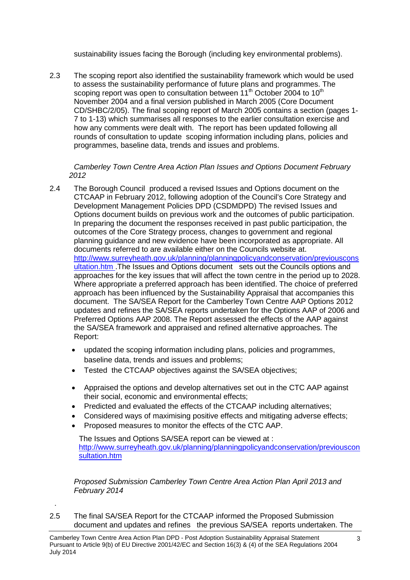sustainability issues facing the Borough (including key environmental problems).

2.3 The scoping report also identified the sustainability framework which would be used to assess the sustainability performance of future plans and programmes. The scoping report was open to consultation between  $11<sup>th</sup>$  October 2004 to  $10<sup>th</sup>$ November 2004 and a final version published in March 2005 (Core Document CD/SHBC/2/05). The final scoping report of March 2005 contains a section (pages 1- 7 to 1-13) which summarises all responses to the earlier consultation exercise and how any comments were dealt with. The report has been updated following all rounds of consultation to update scoping information including plans, policies and programmes, baseline data, trends and issues and problems.

*Camberley Town Centre Area Action Plan Issues and Options Document February 2012*

- 2.4 The Borough Council produced a revised Issues and Options document on the CTCAAP in February 2012, following adoption of the Council's Core Strategy and Development Management Policies DPD (CSDMDPD) The revised Issues and Options document builds on previous work and the outcomes of public participation. In preparing the document the responses received in past public participation, the outcomes of the Core Strategy process, changes to government and regional planning guidance and new evidence have been incorporated as appropriate. All documents referred to are available either on the Councils website at. [http://www.surreyheath.gov.uk/planning/planningpolicyandconservation/previouscons](http://www.surreyheath.gov.uk/planning/planningpolicyandconservation/previousconsultation.htm) [ultation.htm](http://www.surreyheath.gov.uk/planning/planningpolicyandconservation/previousconsultation.htm) .The Issues and Options document sets out the Councils options and approaches for the key issues that will affect the town centre in the period up to 2028. Where appropriate a preferred approach has been identified. The choice of preferred approach has been influenced by the Sustainability Appraisal that accompanies this document. The SA/SEA Report for the Camberley Town Centre AAP Options 2012 updates and refines the SA/SEA reports undertaken for the Options AAP of 2006 and Preferred Options AAP 2008. The Report assessed the effects of the AAP against the SA/SEA framework and appraised and refined alternative approaches. The Report:
	- updated the scoping information including plans, policies and programmes, baseline data, trends and issues and problems;
	- Tested the CTCAAP objectives against the SA/SEA objectives;
	- Appraised the options and develop alternatives set out in the CTC AAP against their social, economic and environmental effects;
	- Predicted and evaluated the effects of the CTCAAP including alternatives;
	- Considered ways of maximising positive effects and mitigating adverse effects;
	- Proposed measures to monitor the effects of the CTC AAP.

.

 The Issues and Options SA/SEA report can be viewed at : [http://www.surreyheath.gov.uk/planning/planningpolicyandconservation/previouscon](http://www.surreyheath.gov.uk/planning/planningpolicyandconservation/previousconsultation.htm) [sultation.htm](http://www.surreyheath.gov.uk/planning/planningpolicyandconservation/previousconsultation.htm)

*Proposed Submission Camberley Town Centre Area Action Plan April 2013 and February 2014* 

2.5 The final SA/SEA Report for the CTCAAP informed the Proposed Submission document and updates and refines the previous SA/SEA reports undertaken. The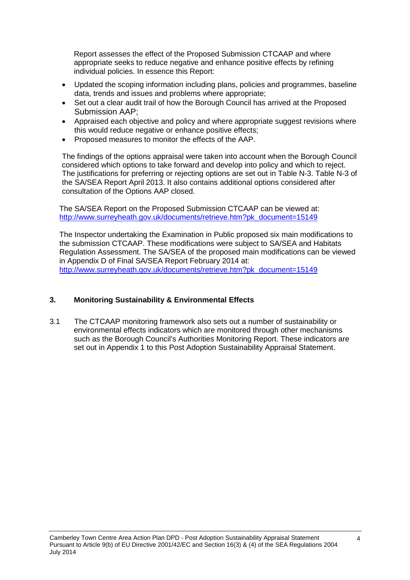Report assesses the effect of the Proposed Submission CTCAAP and where appropriate seeks to reduce negative and enhance positive effects by refining individual policies. In essence this Report:

- Updated the scoping information including plans, policies and programmes, baseline data, trends and issues and problems where appropriate;
- Set out a clear audit trail of how the Borough Council has arrived at the Proposed Submission AAP;
- Appraised each objective and policy and where appropriate suggest revisions where this would reduce negative or enhance positive effects;
- Proposed measures to monitor the effects of the AAP.

The findings of the options appraisal were taken into account when the Borough Council considered which options to take forward and develop into policy and which to reject. The justifications for preferring or rejecting options are set out in Table N-3. Table N-3 of the SA/SEA Report April 2013. It also contains additional options considered after consultation of the Options AAP closed.

The SA/SEA Report on the Proposed Submission CTCAAP can be viewed at: [http://www.surreyheath.gov.uk/documents/retrieve.htm?pk\\_document=15149](http://www.surreyheath.gov.uk/documents/retrieve.htm?pk_document=15149)

The Inspector undertaking the Examination in Public proposed six main modifications to the submission CTCAAP. These modifications were subject to SA/SEA and Habitats Regulation Assessment. The SA/SEA of the proposed main modifications can be viewed in Appendix D of Final SA/SEA Report February 2014 at: [http://www.surreyheath.gov.uk/documents/retrieve.htm?pk\\_document=15149](http://www.surreyheath.gov.uk/documents/retrieve.htm?pk_document=15149)

#### **3. Monitoring Sustainability & Environmental Effects**

3.1 The CTCAAP monitoring framework also sets out a number of sustainability or environmental effects indicators which are monitored through other mechanisms such as the Borough Council's Authorities Monitoring Report. These indicators are set out in Appendix 1 to this Post Adoption Sustainability Appraisal Statement.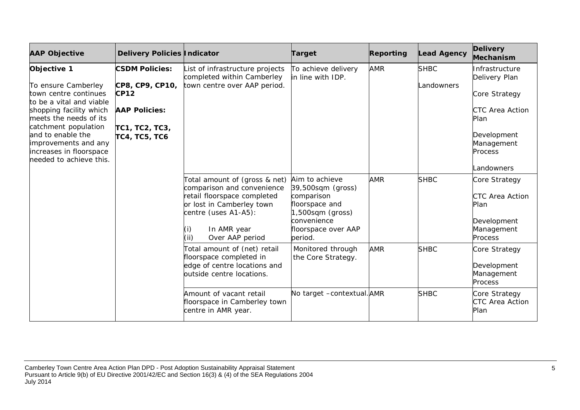| <b>AAP Objective</b>                                                                                                                                                                                                                                                    | Delivery Policies Indicator                                                                                        |                                                                                                                                                                                                 | Target                                                                                                                                        | Reporting  | <b>Lead Agency</b>        | <b>Delivery</b><br>Mechanism                                                                                                             |
|-------------------------------------------------------------------------------------------------------------------------------------------------------------------------------------------------------------------------------------------------------------------------|--------------------------------------------------------------------------------------------------------------------|-------------------------------------------------------------------------------------------------------------------------------------------------------------------------------------------------|-----------------------------------------------------------------------------------------------------------------------------------------------|------------|---------------------------|------------------------------------------------------------------------------------------------------------------------------------------|
| Objective 1<br>To ensure Camberley<br>town centre continues<br>to be a vital and viable<br>shopping facility which<br>meets the needs of its<br>catchment population<br>and to enable the<br>improvements and any<br>increases in floorspace<br>needed to achieve this. | <b>CSDM Policies:</b><br>CP8, CP9, CP10,<br><b>CP12</b><br><b>AAP Policies:</b><br>TC1, TC2, TC3,<br>ТС4, ТС5, ТС6 | List of infrastructure projects<br>completed within Camberley<br>town centre over AAP period.                                                                                                   | To achieve delivery<br>in line with IDP.                                                                                                      | <b>AMR</b> | <b>SHBC</b><br>Landowners | Infrastructure<br>Delivery Plan<br>Core Strategy<br><b>CTC Area Action</b><br>Plan<br>Development<br>Management<br>Process<br>Landowners |
|                                                                                                                                                                                                                                                                         |                                                                                                                    | Total amount of (gross & net)<br>comparison and convenience<br>retail floorspace completed<br>or lost in Camberley town<br>centre (uses A1-A5):<br>(i)<br>In AMR year<br>(i)<br>Over AAP period | Aim to achieve<br>39,500sqm (gross)<br>comparison<br>floorspace and<br>$1,500$ sqm $(gross)$<br>convenience<br>floorspace over AAP<br>period. | <b>AMR</b> | <b>SHBC</b>               | Core Strategy<br>CTC Area Action<br>Plan<br>Development<br>Management<br>Process                                                         |
|                                                                                                                                                                                                                                                                         |                                                                                                                    | Total amount of (net) retail<br>floorspace completed in<br>edge of centre locations and<br>outside centre locations.                                                                            | Monitored through<br>the Core Strategy.                                                                                                       | <b>AMR</b> | <b>SHBC</b>               | Core Strategy<br>Development<br>Management<br>Process                                                                                    |
|                                                                                                                                                                                                                                                                         |                                                                                                                    | Amount of vacant retail<br>floorspace in Camberley town<br>centre in AMR year.                                                                                                                  | No target -contextual. AMR                                                                                                                    |            | <b>SHBC</b>               | Core Strategy<br>CTC Area Action<br>Plan                                                                                                 |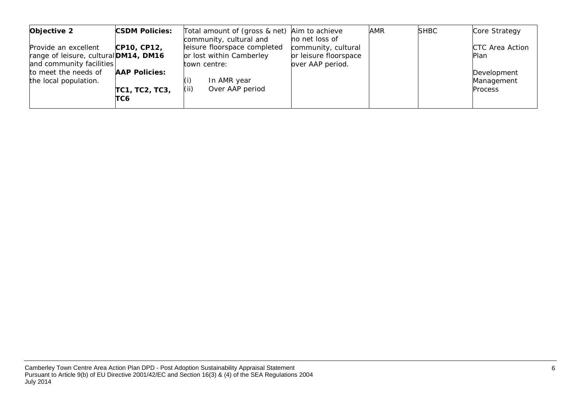| Objective 2                           | <b>CSDM Policies:</b> | Total amount of (gross & net)<br>community, cultural and | Aim to achieve<br>no net loss of | AMR | <b>SHBC</b> | Core Strategy   |
|---------------------------------------|-----------------------|----------------------------------------------------------|----------------------------------|-----|-------------|-----------------|
| Provide an excellent                  | CP10, CP12,           | leisure floorspace completed                             | community, cultural              |     |             | CTC Area Action |
| range of leisure, cultural DM14, DM16 |                       | or lost within Camberley                                 | or leisure floorspace            |     |             | Plan            |
| and community facilities              |                       | town centre:                                             | over AAP period.                 |     |             |                 |
| to meet the needs of                  | <b>AAP Policies:</b>  |                                                          |                                  |     |             | Development     |
| the local population.                 |                       | In AMR year                                              |                                  |     |             | Management      |
|                                       | TC1, TC2, TC3,        | (ii)<br>Over AAP period                                  |                                  |     |             | <b>Process</b>  |
|                                       | TC6                   |                                                          |                                  |     |             |                 |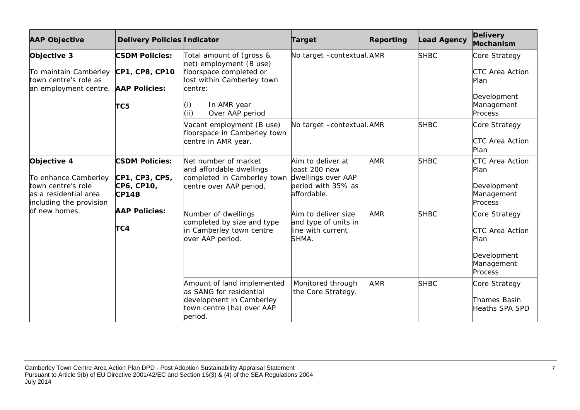| <b>AAP Objective</b>                                                                                                           | <b>Delivery Policies Indicator</b>                                                 |                                                                                                                                                                         | <b>Target</b>                                                                                 | Reporting  | <b>Lead Agency</b> | <b>Delivery</b><br>Mechanism                                                            |
|--------------------------------------------------------------------------------------------------------------------------------|------------------------------------------------------------------------------------|-------------------------------------------------------------------------------------------------------------------------------------------------------------------------|-----------------------------------------------------------------------------------------------|------------|--------------------|-----------------------------------------------------------------------------------------|
| Objective 3<br>To maintain Camberley<br>town centre's role as<br>an employment centre.                                         | <b>CSDM Policies:</b><br>CP1, CP8, CP10<br><b>AAP Policies:</b><br>TC <sub>5</sub> | Total amount of (gross &<br>net) employment (B use)<br>floorspace completed or<br>lost within Camberley town<br>centre:<br>In AMR year<br>(i)<br>(i)<br>Over AAP period | No target -contextual. AMR                                                                    |            | <b>SHBC</b>        | Core Strategy<br>CTC Area Action<br>Plan<br>Development<br>Management<br>Process        |
|                                                                                                                                |                                                                                    | Vacant employment (B use)<br>floorspace in Camberley town<br>centre in AMR year.                                                                                        | No target -contextual. AMR                                                                    |            | <b>SHBC</b>        | Core Strategy<br><b>CTC Area Action</b><br>Plan                                         |
| Objective 4<br>To enhance Camberley<br>town centre's role<br>as a residential area<br>including the provision<br>of new homes. | <b>CSDM Policies:</b><br>CP1, CP3, CP5,<br>CP6, CP10,<br>CP14B                     | Net number of market<br>and affordable dwellings<br>completed in Camberley town<br>centre over AAP period.                                                              | Aim to deliver at<br>least 200 new<br>dwellings over AAP<br>period with 35% as<br>affordable. | <b>AMR</b> | <b>SHBC</b>        | CTC Area Action<br>Plan<br>Development<br>Management<br>Process                         |
|                                                                                                                                | <b>AAP Policies:</b><br>TC4                                                        | Number of dwellings<br>completed by size and type<br>in Camberley town centre<br>over AAP period.                                                                       | Aim to deliver size<br>and type of units in<br>line with current<br>SHMA.                     | <b>AMR</b> | <b>SHBC</b>        | Core Strategy<br><b>CTC Area Action</b><br>Plan<br>Development<br>Management<br>Process |
|                                                                                                                                |                                                                                    | Amount of land implemented<br>as SANG for residential<br>development in Camberley<br>town centre (ha) over AAP<br>period.                                               | Monitored through<br>the Core Strategy.                                                       | <b>AMR</b> | <b>SHBC</b>        | Core Strategy<br>Thames Basin<br>Heaths SPA SPD                                         |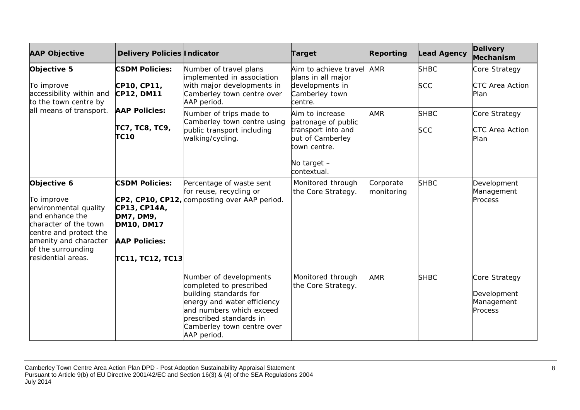| <b>AAP Objective</b>                                                                                                                                                                          | Delivery Policies   Indicator                                                                                       |                                                                                                                                                                                                                | Target                                                                                                                           | Reporting               | <b>Lead Agency</b>        | <b>Delivery</b><br>Mechanism                          |
|-----------------------------------------------------------------------------------------------------------------------------------------------------------------------------------------------|---------------------------------------------------------------------------------------------------------------------|----------------------------------------------------------------------------------------------------------------------------------------------------------------------------------------------------------------|----------------------------------------------------------------------------------------------------------------------------------|-------------------------|---------------------------|-------------------------------------------------------|
| Objective 5<br>To improve<br>accessibility within and<br>to the town centre by<br>all means of transport.                                                                                     | <b>CSDM Policies:</b><br>CP10, CP11,<br>CP12, DM11                                                                  | Number of travel plans<br>implemented in association<br>with major developments in<br>Camberley town centre over<br>AAP period.                                                                                | Aim to achieve travel AMR<br>plans in all major<br>developments in<br>Camberley town<br>centre.                                  |                         | <b>SHBC</b><br><b>SCC</b> | Core Strategy<br><b>CTC Area Action</b><br>Plan       |
|                                                                                                                                                                                               | <b>AAP Policies:</b><br>TC7, TC8, TC9,<br><b>TC10</b>                                                               | Number of trips made to<br>Camberley town centre using<br>public transport including<br>walking/cycling.                                                                                                       | Aim to increase<br>patronage of public<br>transport into and<br>out of Camberley<br>town centre.<br>No target $-$<br>contextual. | <b>AMR</b>              | <b>SHBC</b><br><b>SCC</b> | Core Strategy<br><b>CTC Area Action</b><br>Plan       |
| Objective 6<br>To improve<br>environmental quality<br>and enhance the<br>character of the town<br>centre and protect the<br>amenity and character<br>of the surrounding<br>residential areas. | <b>CSDM Policies:</b><br>CP13, CP14A,<br>DM7, DM9,<br><b>DM10, DM17</b><br><b>AAP Policies:</b><br>TC11, TC12, TC13 | Percentage of waste sent<br>for reuse, recycling or<br>CP2, CP10, CP12, composting over AAP period.                                                                                                            | Monitored through<br>the Core Strategy.                                                                                          | Corporate<br>monitoring | <b>SHBC</b>               | Development<br>Management<br>Process                  |
|                                                                                                                                                                                               |                                                                                                                     | Number of developments<br>completed to prescribed<br>building standards for<br>energy and water efficiency<br>and numbers which exceed<br>prescribed standards in<br>Camberley town centre over<br>AAP period. | Monitored through<br>the Core Strategy.                                                                                          | <b>AMR</b>              | <b>SHBC</b>               | Core Strategy<br>Development<br>Management<br>Process |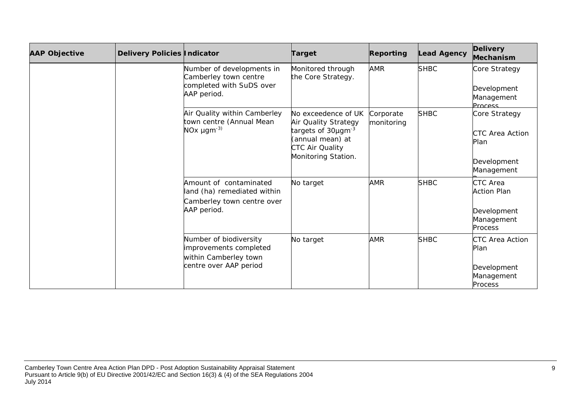| <b>AAP Objective</b> | Delivery Policies   Indicator                                                                       |                                                                                                     | <b>Target</b>                                                                                                                               | Reporting               | <b>Lead Agency</b>                                                            | <b>Delivery</b><br>Mechanism                                                 |
|----------------------|-----------------------------------------------------------------------------------------------------|-----------------------------------------------------------------------------------------------------|---------------------------------------------------------------------------------------------------------------------------------------------|-------------------------|-------------------------------------------------------------------------------|------------------------------------------------------------------------------|
|                      |                                                                                                     | Number of developments in<br>Camberley town centre<br>completed with SuDS over<br>AAP period.       | Monitored through<br>the Core Strategy.                                                                                                     | <b>AMR</b>              | <b>SHBC</b>                                                                   | Core Strategy<br>Development<br>Management<br><b>Process</b>                 |
|                      |                                                                                                     | Air Quality within Camberley<br>town centre (Annual Mean<br>NO <sub>x</sub> $\mu$ gm <sup>-3)</sup> | No exceedence of UK<br>Air Quality Strategy<br>targets of 30µgm <sup>-3</sup><br>(annual mean) at<br>CTC Air Quality<br>Monitoring Station. | Corporate<br>monitoring | <b>SHBC</b>                                                                   | Core Strategy<br><b>CTC Area Action</b><br>Plan<br>Development<br>Management |
|                      | Amount of contaminated<br>land (ha) remediated within<br>Camberley town centre over<br>AAP period.  | No target                                                                                           | <b>AMR</b>                                                                                                                                  | <b>SHBC</b>             | <b>CTC</b> Area<br><b>Action Plan</b><br>Development<br>Management<br>Process |                                                                              |
|                      | Number of biodiversity<br>improvements completed<br>within Camberley town<br>centre over AAP period | No target                                                                                           | <b>AMR</b>                                                                                                                                  | <b>SHBC</b>             | CTC Area Action<br>Plan<br>Development<br>Management<br><b>Process</b>        |                                                                              |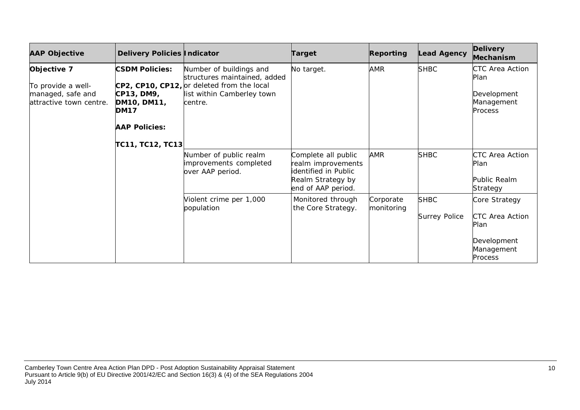| <b>AAP Objective</b>                                                              | Delivery Policies Indicator                                                                                   |                                                                                                                                                | <b>Target</b>                                                                                                | Reporting               | <b>Lead Agency</b>                  | <b>Delivery</b><br>Mechanism                                                     |
|-----------------------------------------------------------------------------------|---------------------------------------------------------------------------------------------------------------|------------------------------------------------------------------------------------------------------------------------------------------------|--------------------------------------------------------------------------------------------------------------|-------------------------|-------------------------------------|----------------------------------------------------------------------------------|
| Objective 7<br>To provide a well-<br>managed, safe and<br>attractive town centre. | <b>CSDM Policies:</b><br>CP13, DM9,<br>DM10, DM11,<br><b>DM17</b><br><b>AAP Policies:</b><br>TC11, TC12, TC13 | Number of buildings and<br>structures maintained, added<br>CP2, CP10, CP12, or deleted from the local<br>list within Camberley town<br>centre. | No target.                                                                                                   | <b>AMR</b>              | <b>SHBC</b>                         | CTC Area Action<br>Plan<br>Development<br>Management<br>Process                  |
|                                                                                   |                                                                                                               | Number of public realm<br>improvements completed<br>over AAP period.                                                                           | Complete all public<br>realm improvements<br>identified in Public<br>Realm Strategy by<br>end of AAP period. | AMR                     | <b>SHBC</b>                         | <b>CTC Area Action</b><br>Plan<br>Public Realm<br>Strategy                       |
|                                                                                   |                                                                                                               | Violent crime per 1,000<br>population                                                                                                          | Monitored through<br>the Core Strategy.                                                                      | Corporate<br>monitoring | <b>SHBC</b><br><b>Surrey Police</b> | Core Strategy<br>CTC Area Action<br>Plan<br>Development<br>Management<br>Process |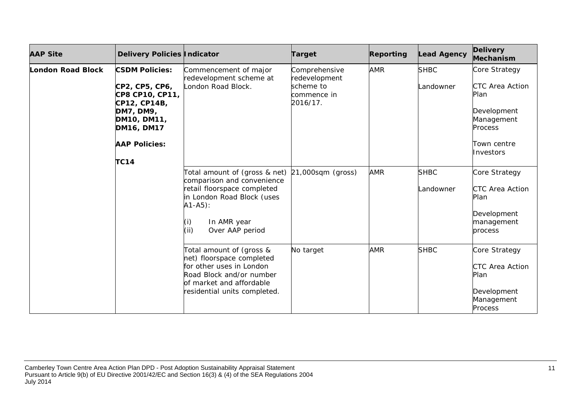| <b>AAP Site</b>                                                                                                                                                | Delivery Policies Indicator                                                                                                                                                        |                                                                                                                                                                           | Target                                                                 | Reporting                | <b>Lead Agency</b>                                                               | <b>Delivery</b><br>Mechanism                                                                                               |
|----------------------------------------------------------------------------------------------------------------------------------------------------------------|------------------------------------------------------------------------------------------------------------------------------------------------------------------------------------|---------------------------------------------------------------------------------------------------------------------------------------------------------------------------|------------------------------------------------------------------------|--------------------------|----------------------------------------------------------------------------------|----------------------------------------------------------------------------------------------------------------------------|
| <b>London Road Block</b><br>CP2, CP5, CP6,<br>CP8 CP10, CP11,<br>CP12, CP14B,<br>DM7, DM9,<br>DM10, DM11,<br>DM16, DM17<br><b>AAP Policies:</b><br><b>TC14</b> | <b>CSDM Policies:</b>                                                                                                                                                              | Commencement of major<br>redevelopment scheme at<br>London Road Block.                                                                                                    | Comprehensive<br>redevelopment<br>scheme to<br>commence in<br>2016/17. | <b>AMR</b>               | <b>SHBC</b><br>Landowner                                                         | Core Strategy<br><b>CTC Area Action</b><br>Plan<br>Development<br>Management<br><b>Process</b><br>Town centre<br>Investors |
|                                                                                                                                                                | Total amount of (gross & net)<br>comparison and convenience<br>retail floorspace completed<br>in London Road Block (uses<br>$A1 - A5$ :<br>In AMR year<br>(iii)<br>Over AAP period | $21,000$ sqm (gross)                                                                                                                                                      | <b>AMR</b>                                                             | <b>SHBC</b><br>Landowner | Core Strategy<br>CTC Area Action<br>Plan<br>Development<br>management<br>process |                                                                                                                            |
|                                                                                                                                                                |                                                                                                                                                                                    | Total amount of (gross &<br>net) floorspace completed<br>for other uses in London<br>Road Block and/or number<br>of market and affordable<br>residential units completed. | No target                                                              | <b>AMR</b>               | <b>SHBC</b>                                                                      | Core Strategy<br>CTC Area Action<br>Plan<br>Development<br>Management<br><b>Process</b>                                    |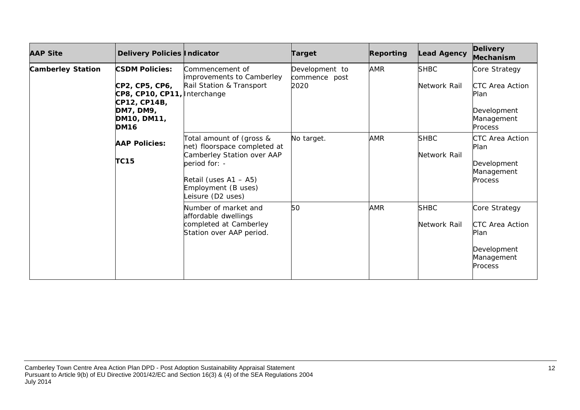| <b>AAP Site</b>          | Delivery Policies Indicator                                                                                                        |                                                                                                                                                                             | <b>Target</b>                           | Reporting  | <b>Lead Agency</b>          | <b>Delivery</b><br>Mechanism                                                     |
|--------------------------|------------------------------------------------------------------------------------------------------------------------------------|-----------------------------------------------------------------------------------------------------------------------------------------------------------------------------|-----------------------------------------|------------|-----------------------------|----------------------------------------------------------------------------------|
| <b>Camberley Station</b> | <b>CSDM Policies:</b><br>CP2, CP5, CP6,<br>CP8, CP10, CP11, Interchange<br>CP12, CP14B,<br>DM7, DM9,<br>DM10, DM11,<br><b>DM16</b> | Commencement of<br>improvements to Camberley<br>Rail Station & Transport                                                                                                    | Development to<br>commence post<br>2020 | <b>AMR</b> | <b>SHBC</b><br>Network Rail | Core Strategy<br>CTC Area Action<br>Plan<br>Development<br>Management<br>Process |
|                          | <b>AAP Policies:</b><br><b>TC15</b>                                                                                                | Total amount of (gross &<br>net) floorspace completed at<br>Camberley Station over AAP<br>period for: -<br>Retail (uses A1 - A5)<br>Employment (B uses)<br>eisure (D2 uses) | No target.                              | <b>AMR</b> | <b>SHBC</b><br>Network Rail | CTC Area Action<br>Plan<br>Development<br>Management<br><b>Process</b>           |
|                          |                                                                                                                                    | Number of market and<br>affordable dwellings<br>completed at Camberley<br>Station over AAP period.                                                                          | 50                                      | <b>AMR</b> | <b>SHBC</b><br>Network Rail | Core Strategy<br>CTC Area Action<br>Plan<br>Development<br>Management<br>Process |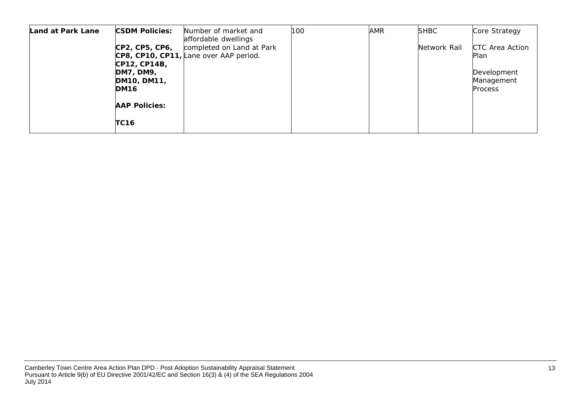| Land at Park Lane | <b>CSDM Policies:</b>                                          | Number of market and<br>affordable dwellings                        | 100 | <b>AMR</b> | <b>SHBC</b>  | Core Strategy                               |
|-------------------|----------------------------------------------------------------|---------------------------------------------------------------------|-----|------------|--------------|---------------------------------------------|
|                   | CP2, CP5, CP6,                                                 | completed on Land at Park<br>CP8, CP10, CP11, Lane over AAP period. |     |            | Network Rail | <b>CTC Area Action</b><br>Plan              |
|                   | CP12, CP14B,<br><b>DM7, DM9,</b><br>DM10, DM11,<br><b>DM16</b> |                                                                     |     |            |              | Development<br>Management<br><b>Process</b> |
|                   | <b>AAP Policies:</b>                                           |                                                                     |     |            |              |                                             |
|                   | <b>TC16</b>                                                    |                                                                     |     |            |              |                                             |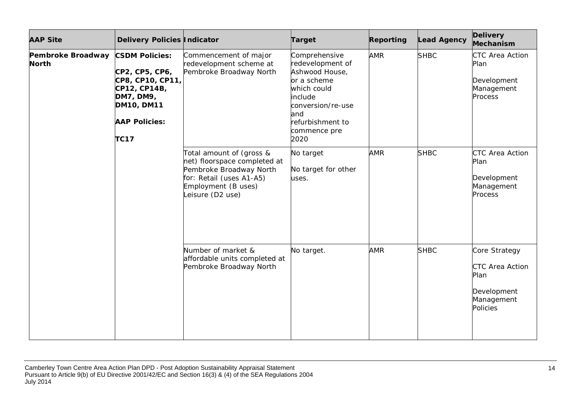| <b>AAP Site</b>            | Delivery Policies Indicator                                                                                                                          |                                                                                                                                                            | <b>Target</b>                                                                                                                                                        | <b>Reporting</b> | <b>Lead Agency</b> | <b>Delivery</b><br>Mechanism                                                                    |
|----------------------------|------------------------------------------------------------------------------------------------------------------------------------------------------|------------------------------------------------------------------------------------------------------------------------------------------------------------|----------------------------------------------------------------------------------------------------------------------------------------------------------------------|------------------|--------------------|-------------------------------------------------------------------------------------------------|
| Pembroke Broadway<br>North | <b>CSDM Policies:</b><br>CP2, CP5, CP6,<br>CP8, CP10, CP11,<br>CP12, CP14B,<br>DM7, DM9,<br><b>DM10, DM11</b><br><b>AAP Policies:</b><br><b>TC17</b> | Commencement of major<br>redevelopment scheme at<br>Pembroke Broadway North                                                                                | Comprehensive<br>redevelopment of<br>Ashwood House,<br>or a scheme<br>which could<br>include<br>conversion/re-use<br>and<br>refurbishment to<br>commence pre<br>2020 | <b>AMR</b>       | <b>SHBC</b>        | <b>CTC Area Action</b><br>Plan<br>Development<br>Management<br>Process                          |
|                            |                                                                                                                                                      | Total amount of (gross &<br>net) floorspace completed at<br>Pembroke Broadway North<br>for: Retail (uses A1-A5)<br>Employment (B uses)<br>Leisure (D2 use) | No target<br>No target for other<br>uses.                                                                                                                            | <b>AMR</b>       | <b>SHBC</b>        | <b>CTC Area Action</b><br>Plan<br>Development<br>Management<br>Process                          |
|                            |                                                                                                                                                      | Number of market &<br>affordable units completed at<br>Pembroke Broadway North                                                                             | No target.                                                                                                                                                           | <b>AMR</b>       | <b>SHBC</b>        | Core Strategy<br><b>CTC Area Action</b><br>Plan<br>Development<br>Management<br><b>Policies</b> |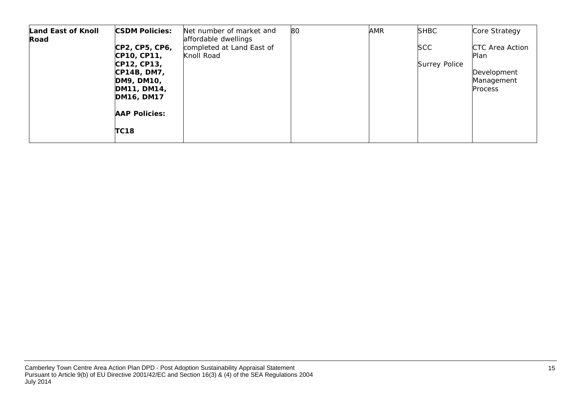| <b>Land East of Knoll</b><br>Road | <b>CSDM Policies:</b>         | Net number of market and<br>affordable dwellings | 80 | <b>AMR</b> | <b>SHBC</b>          | Core Strategy           |
|-----------------------------------|-------------------------------|--------------------------------------------------|----|------------|----------------------|-------------------------|
|                                   | CP2, CP5, CP6,<br>CP10, CP11, | completed at Land East of<br>Knoll Road          |    |            | <b>SCC</b>           | CTC Area Action<br>Plan |
|                                   | CP12, CP13,                   |                                                  |    |            | <b>Surrey Police</b> |                         |
|                                   | CP14B, DM7,                   |                                                  |    |            |                      | Development             |
|                                   | DM9, DM10,                    |                                                  |    |            |                      | Management              |
|                                   | DM11, DM14,<br>DM16, DM17     |                                                  |    |            |                      | <b>Process</b>          |
|                                   | <b>AAP Policies:</b>          |                                                  |    |            |                      |                         |
|                                   | <b>TC18</b>                   |                                                  |    |            |                      |                         |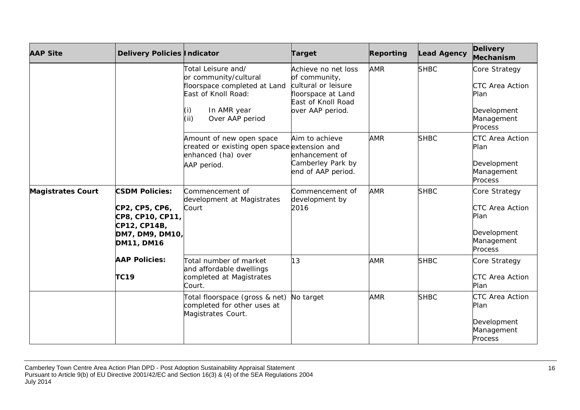| <b>AAP Site</b>          | Delivery Policies Indicator                                                                                  |                                                                                                                                                     | <b>Target</b>                                                                                                               | Reporting  | <b>Lead Agency</b> | <b>Delivery</b><br>Mechanism                                                            |
|--------------------------|--------------------------------------------------------------------------------------------------------------|-----------------------------------------------------------------------------------------------------------------------------------------------------|-----------------------------------------------------------------------------------------------------------------------------|------------|--------------------|-----------------------------------------------------------------------------------------|
|                          |                                                                                                              | Total Leisure and/<br>or community/cultural<br>floorspace completed at Land<br>East of Knoll Road:<br>(i)<br>In AMR year<br>(ii)<br>Over AAP period | Achieve no net loss<br>of community,<br>cultural or leisure<br>floorspace at Land<br>East of Knoll Road<br>over AAP period. | <b>AMR</b> | <b>SHBC</b>        | Core Strategy<br><b>CTC Area Action</b><br>Plan<br>Development<br>Management<br>Process |
|                          |                                                                                                              | Amount of new open space<br>created or existing open space extension and<br>enhanced (ha) over<br>AAP period.                                       | Aim to achieve<br>enhancement of<br>Camberley Park by<br>end of AAP period.                                                 | <b>AMR</b> | <b>SHBC</b>        | CTC Area Action<br>Plan<br>Development<br>Management<br>Process                         |
| <b>Magistrates Court</b> | <b>CSDM Policies:</b><br>CP2, CP5, CP6,<br>CP8, CP10, CP11,<br>CP12, CP14B,<br>DM7, DM9, DM10,<br>DM11, DM16 | Commencement of<br>development at Magistrates<br>Court                                                                                              | Commencement of<br>development by<br>2016                                                                                   | <b>AMR</b> | <b>SHBC</b>        | Core Strategy<br>CTC Area Action<br>Plan<br>Development<br>Management<br>Process        |
|                          | <b>AAP Policies:</b><br><b>TC19</b>                                                                          | Total number of market<br>and affordable dwellings<br>completed at Magistrates<br>Court.                                                            | 13                                                                                                                          | <b>AMR</b> | <b>SHBC</b>        | Core Strategy<br>CTC Area Action<br>Plan                                                |
|                          |                                                                                                              | Total floorspace (gross & net)<br>completed for other uses at<br>Magistrates Court.                                                                 | No target                                                                                                                   | <b>AMR</b> | <b>SHBC</b>        | CTC Area Action<br>Plan<br>Development<br>Management<br>Process                         |